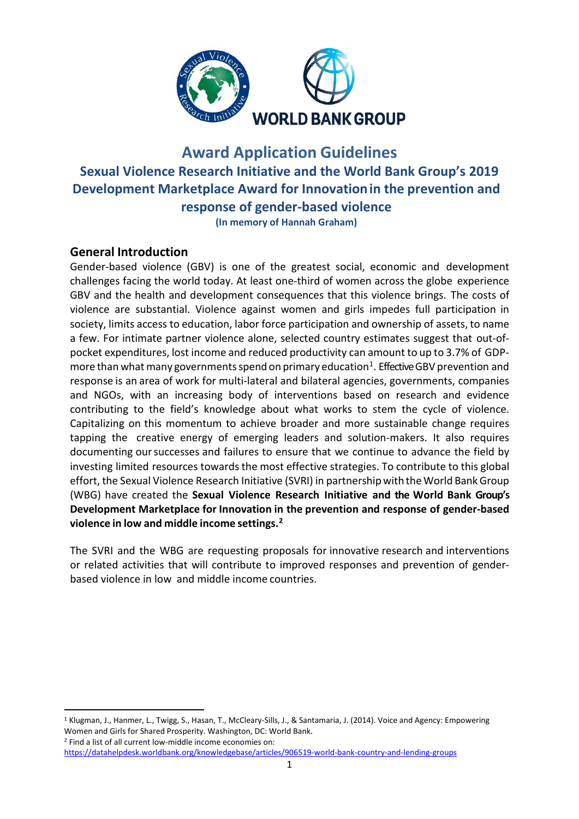

# **Award Application Guidelines Sexual Violence Research Initiative and the World Bank Group's 2019 Development Marketplace Award for Innovationin the prevention and response of gender-based violence**

**(In memory of Hannah Graham)**

### **General Introduction**

Gender-based violence (GBV) is one of the greatest social, economic and development challenges facing the world today. At least one-third of women across the globe experience GBV and the health and development consequences that this violence brings. The costs of violence are substantial. Violence against women and girls impedes full participation in society, limits access to education, labor force participation and ownership of assets, to name a few. For intimate partner violence alone, selected country estimates suggest that out-ofpocket expenditures, lost income and reduced productivity can amount to up to 3.7% of GDP-more than what many governments spend on primary education<sup>[1](#page-0-0)</sup>. Effective GBV prevention and response is an area of work for multi-lateral and bilateral agencies, governments, companies and NGOs, with an increasing body of interventions based on research and evidence contributing to the field's knowledge about what works to stem the cycle of violence. Capitalizing on this momentum to achieve broader and more sustainable change requires tapping the creative energy of emerging leaders and solution-makers. It also requires documenting oursuccesses and failures to ensure that we continue to advance the field by investing limited resources towards the most effective strategies. To contribute to this global effort, the Sexual Violence Research Initiative (SVRI) in partnership with the World Bank Group (WBG) have created the **Sexual Violence Research Initiative and the World Bank Group's Development Marketplace for Innovation in the prevention and response of gender-based violence in low and middle income settings. [2](#page-0-1)**

The SVRI and the WBG are requesting proposals for innovative research and interventions or related activities that will contribute to improved responses and prevention of genderbased violence in low and middle income countries.

<span id="page-0-1"></span><sup>2</sup> Find a list of all current low-middle income economies on: <https://datahelpdesk.worldbank.org/knowledgebase/articles/906519-world-bank-country-and-lending-groups>

<span id="page-0-0"></span> <sup>1</sup> Klugman, J., Hanmer, L., Twigg, S., Hasan, T., McCleary-Sills, J., & Santamaria, J. (2014). Voice and Agency: Empowering Women and Girls for Shared Prosperity. Washington, DC: World Bank.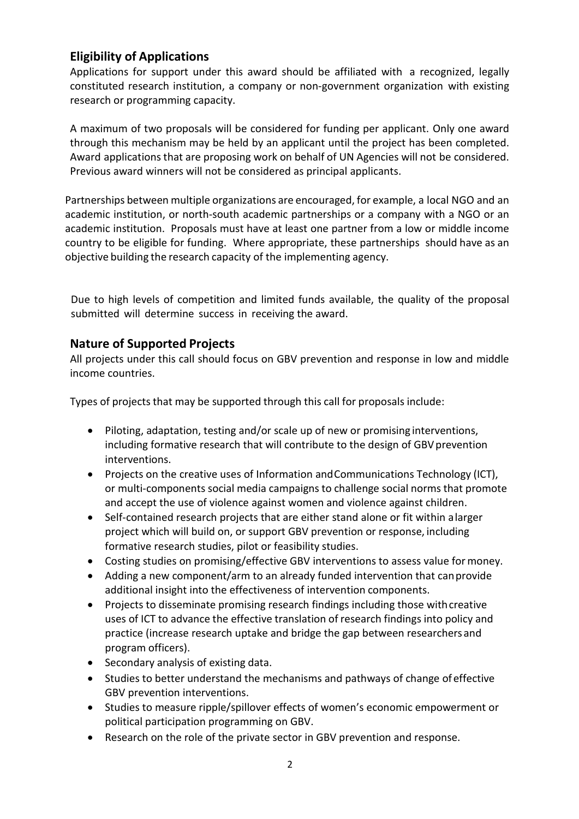# **Eligibility of Applications**

Applications for support under this award should be affiliated with a recognized, legally constituted research institution, a company or non-government organization with existing research or programming capacity.

A maximum of two proposals will be considered for funding per applicant. Only one award through this mechanism may be held by an applicant until the project has been completed. Award applications that are proposing work on behalf of UN Agencies will not be considered. Previous award winners will not be considered as principal applicants.

Partnerships between multiple organizations are encouraged, for example, a local NGO and an academic institution, or north-south academic partnerships or a company with a NGO or an academic institution. Proposals must have at least one partner from a low or middle income country to be eligible for funding. Where appropriate, these partnerships should have as an objective building the research capacity of the implementing agency.

Due to high levels of competition and limited funds available, the quality of the proposal submitted will determine success in receiving the award.

### **Nature of Supported Projects**

All projects under this call should focus on GBV prevention and response in low and middle income countries.

Types of projects that may be supported through this call for proposals include:

- Piloting, adaptation, testing and/or scale up of new or promising interventions, including formative research that will contribute to the design of GBV prevention interventions.
- Projects on the creative uses of Information andCommunications Technology (ICT), or multi-components social media campaigns to challenge social norms that promote and accept the use of violence against women and violence against children.
- Self-contained research projects that are either stand alone or fit within alarger project which will build on, or support GBV prevention or response, including formative research studies, pilot or feasibility studies.
- Costing studies on promising/effective GBV interventions to assess value formoney.
- Adding a new component/arm to an already funded intervention that canprovide additional insight into the effectiveness of intervention components.
- Projects to disseminate promising research findings including those with creative uses of ICT to advance the effective translation of research findings into policy and practice (increase research uptake and bridge the gap between researchers and program officers).
- Secondary analysis of existing data.
- Studies to better understand the mechanisms and pathways of change of effective GBV prevention interventions.
- Studies to measure ripple/spillover effects of women's economic empowerment or political participation programming on GBV.
- Research on the role of the private sector in GBV prevention and response.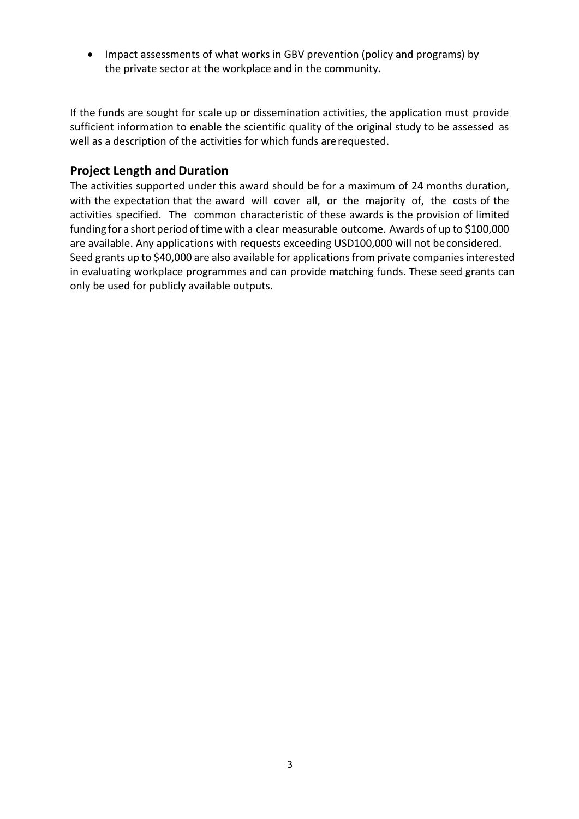• Impact assessments of what works in GBV prevention (policy and programs) by the private sector at the workplace and in the community.

If the funds are sought for scale up or dissemination activities, the application must provide sufficient information to enable the scientific quality of the original study to be assessed as well as a description of the activities for which funds arerequested.

#### **Project Length and Duration**

The activities supported under this award should be for a maximum of 24 months duration, with the expectation that the award will cover all, or the majority of, the costs of the activities specified. The common characteristic of these awards is the provision of limited funding for a short period of time with a clear measurable outcome. Awards of up to \$100,000 are available. Any applications with requests exceeding USD100,000 will not beconsidered. Seed grants up to \$40,000 are also available for applications from private companies interested in evaluating workplace programmes and can provide matching funds. These seed grants can only be used for publicly available outputs.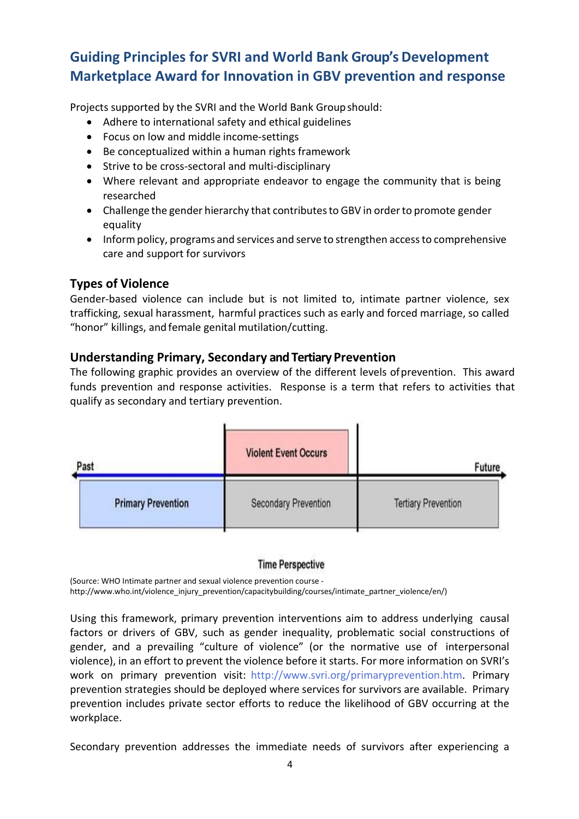# **Guiding Principles for SVRI and World Bank Group's Development Marketplace Award for Innovation in GBV prevention and response**

Projects supported by the SVRI and the World Bank Groupshould:

- Adhere to international safety and ethical guidelines
- Focus on low and middle income-settings
- Be conceptualized within a human rights framework
- Strive to be cross-sectoral and multi-disciplinary
- Where relevant and appropriate endeavor to engage the community that is being researched
- Challenge the gender hierarchy that contributes to GBV in order to promote gender equality
- Inform policy, programs and services and serve to strengthen access to comprehensive care and support for survivors

### **Types of Violence**

Gender-based violence can include but is not limited to, intimate partner violence, sex trafficking, sexual harassment, harmful practices such as early and forced marriage, so called "honor" killings, and female genital mutilation/cutting.

#### **Understanding Primary, Secondary and Tertiary Prevention**

The following graphic provides an overview of the different levels ofprevention. This award funds prevention and response activities. Response is a term that refers to activities that qualify as secondary and tertiary prevention.



#### **Time Perspective**

(Source: WHO Intimate partner and sexual violence prevention course [http://www.who.int/violence\\_injury\\_prevention/capacitybuilding/courses/intimate\\_partner\\_violence/en/\)](http://www.who.int/violence_injury_prevention/capacitybuilding/courses/intimate_partner_violence/en/))

Using this framework, primary prevention interventions aim to address underlying causal factors or drivers of GBV, such as gender inequality, problematic social constructions of gender, and a prevailing "culture of violence" (or the normative use of interpersonal violence), in an effort to prevent the violence before it starts. For more information on SVRI's work on primary prevention visit: [http://www.svri.org/primaryprevention.htm.](http://www.svri.org/primaryprevention.htm) Primary prevention strategies should be deployed where services for survivors are available. Primary prevention includes private sector efforts to reduce the likelihood of GBV occurring at the workplace.

Secondary prevention addresses the immediate needs of survivors after experiencing a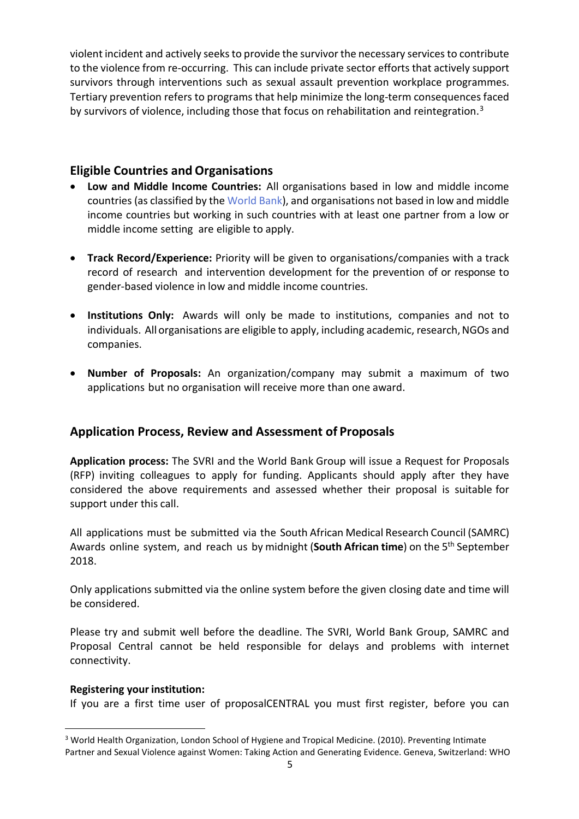violent incident and actively seeks to provide the survivor the necessary services to contribute to the violence from re-occurring. This can include private sector efforts that actively support survivors through interventions such as sexual assault prevention workplace programmes. Tertiary prevention refers to programs that help minimize the long-term consequences faced by survivors of violence, including those that focus on rehabilitation and reintegration.<sup>[3](#page-4-0)</sup>

#### **Eligible Countries and Organisations**

- **Low and Middle Income Countries:** All organisations based in low and middle income countries (as classified by the [World](http://data.worldbank.org/about/country-and-lending-groups) Bank), and organisations not based in low and middle income countries but working in such countries with at least one partner from a low or middle income setting are eligible to apply.
- **Track Record/Experience:** Priority will be given to organisations/companies with a track record of research and intervention development for the prevention of or response to gender-based violence in low and middle income countries.
- **Institutions Only:** Awards will only be made to institutions, companies and not to individuals. All organisations are eligible to apply, including academic, research, NGOs and companies.
- **Number of Proposals:** An organization/company may submit a maximum of two applications but no organisation will receive more than one award.

# **Application Process, Review and Assessment of Proposals**

**Application process:** The SVRI and the World Bank Group will issue a Request for Proposals (RFP) inviting colleagues to apply for funding. Applicants should apply after they have considered the above requirements and assessed whether their proposal is suitable for support under this call.

All applications must be submitted via the South African Medical Research Council (SAMRC) Awards online system, and reach us by midnight (**South African time**) on the 5th September 2018.

Only applications submitted via the online system before the given closing date and time will be considered.

Please try and submit well before the deadline. The SVRI, World Bank Group, SAMRC and Proposal Central cannot be held responsible for delays and problems with internet connectivity.

#### **Registering your institution:**

If you are a first time user of proposalCENTRAL you must first register, before you can

<span id="page-4-0"></span><sup>&</sup>lt;sup>3</sup> World Health Organization, London School of Hygiene and Tropical Medicine. (2010). Preventing Intimate Partner and Sexual Violence against Women: Taking Action and Generating Evidence. Geneva, Switzerland: WHO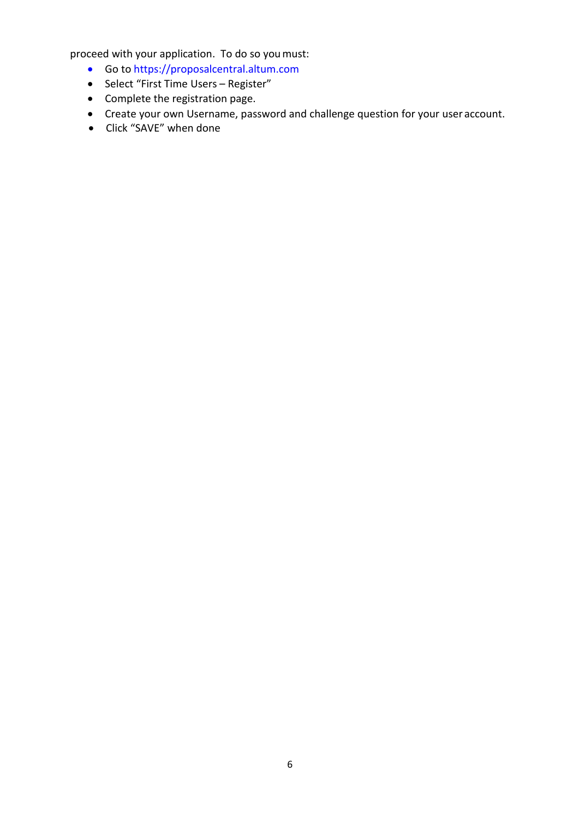proceed with your application. To do so youmust:

- Go to https://proposalcentral.altum.com
- Select "First Time Users Register"
- Complete the registration page.
- Create your own Username, password and challenge question for your user account.
- Click "SAVE" when done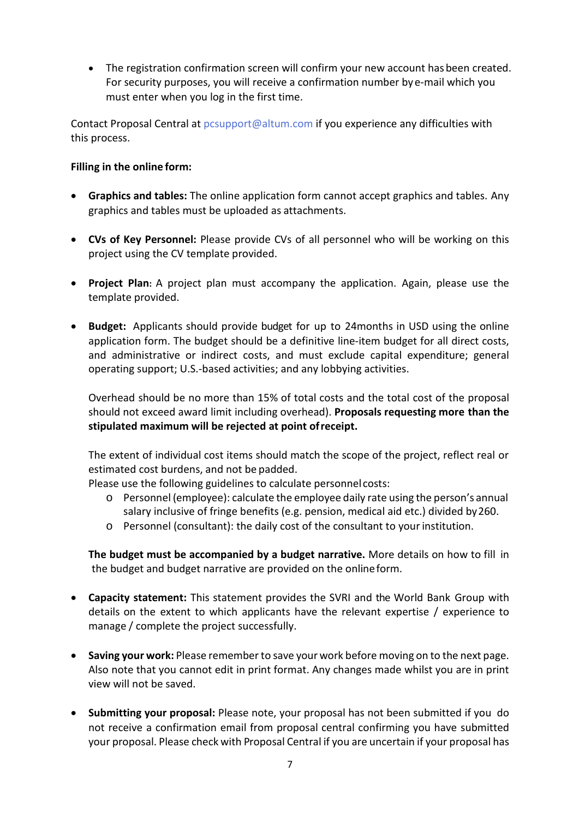• The registration confirmation screen will confirm your new account hasbeen created. For security purposes, you will receive a confirmation number bye-mail which you must enter when you log in the first time.

Contact Proposal Central at [pcsupport@altum.com](mailto:pcsupport@altum.com) if you experience any difficulties with this process.

#### **Filling in the online form:**

- **Graphics and tables:** The online application form cannot accept graphics and tables. Any graphics and tables must be uploaded as attachments.
- **CVs of Key Personnel:** Please provide CVs of all personnel who will be working on this project using the CV template provided.
- **Project Plan:** A project plan must accompany the application. Again, please use the template provided.
- **Budget:** Applicants should provide budget for up to 24months in USD using the online application form. The budget should be a definitive line-item budget for all direct costs, and administrative or indirect costs, and must exclude capital expenditure; general operating support; U.S.-based activities; and any lobbying activities.

Overhead should be no more than 15% of total costs and the total cost of the proposal should not exceed award limit including overhead). **Proposals requesting more than the stipulated maximum will be rejected at point ofreceipt.**

The extent of individual cost items should match the scope of the project, reflect real or estimated cost burdens, and not be padded.

Please use the following guidelines to calculate personnel costs:

- o Personnel (employee): calculate the employee daily rate using the person's annual salary inclusive of fringe benefits (e.g. pension, medical aid etc.) divided by260.
- o Personnel (consultant): the daily cost of the consultant to yourinstitution.

**The budget must be accompanied by a budget narrative.** More details on how to fill in the budget and budget narrative are provided on the onlineform.

- **Capacity statement:** This statement provides the SVRI and the World Bank Group with details on the extent to which applicants have the relevant expertise / experience to manage / complete the project successfully.
- **Saving your work:** Please rememberto save your work before moving on to the next page. Also note that you cannot edit in print format. Any changes made whilst you are in print view will not be saved.
- **Submitting your proposal:** Please note, your proposal has not been submitted if you do not receive a confirmation email from proposal central confirming you have submitted your proposal. Please check with Proposal Central if you are uncertain if your proposal has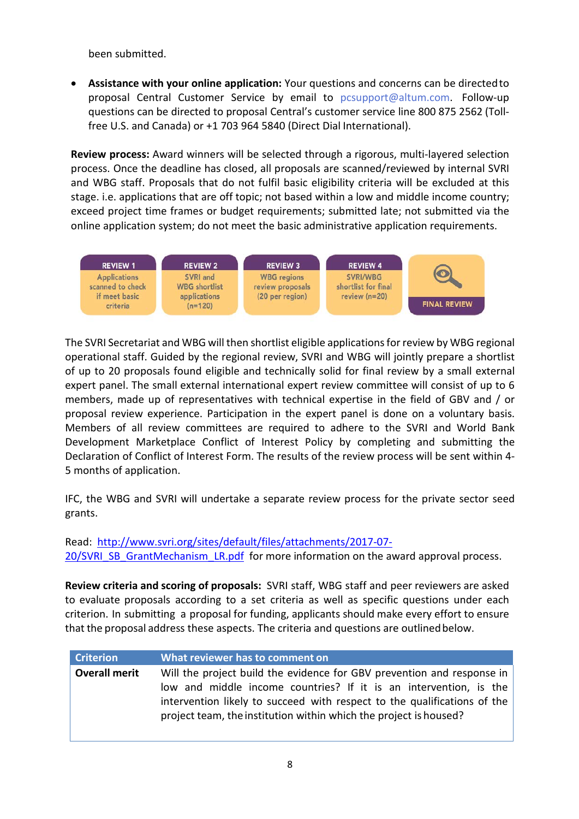been submitted.

• **Assistance with your online application:** Your questions and concerns can be directedto proposal Central Customer Service by email to [pcsupport@altum.com.](mailto:pcsupport@altum.com) Follow-up questions can be directed to proposal Central's customer service line 800 875 2562 (Tollfree U.S. and Canada) or +1 703 964 5840 (Direct Dial International).

**Review process:** Award winners will be selected through a rigorous, multi-layered selection process. Once the deadline has closed, all proposals are scanned/reviewed by internal SVRI and WBG staff. Proposals that do not fulfil basic eligibility criteria will be excluded at this stage. i.e. applications that are off topic; not based within a low and middle income country; exceed project time frames or budget requirements; submitted late; not submitted via the online application system; do not meet the basic administrative application requirements.



The SVRI Secretariat and WBG will then shortlist eligible applications for review by WBG regional operational staff. Guided by the regional review, SVRI and WBG will jointly prepare a shortlist of up to 20 proposals found eligible and technically solid for final review by a small external expert panel. The small external international expert review committee will consist of up to 6 members, made up of representatives with technical expertise in the field of GBV and / or proposal review experience. Participation in the expert panel is done on a voluntary basis. Members of all review committees are required to adhere to the SVRI and World Bank Development Marketplace Conflict of Interest Policy by completing and submitting the Declaration of Conflict of Interest Form. The results of the review process will be sent within 4- 5 months of application.

IFC, the WBG and SVRI will undertake a separate review process for the private sector seed grants.

Read: [http://www.svri.org/sites/default/files/attachments/2017-07-](http://www.svri.org/sites/default/files/attachments/2017-07-20/SVRI_SB_GrantMechanism_LR.pdf) [20/SVRI\\_SB\\_GrantMechanism\\_LR.pdf](http://www.svri.org/sites/default/files/attachments/2017-07-20/SVRI_SB_GrantMechanism_LR.pdf) for more information on the award approval process.

**Review criteria and scoring of proposals:** SVRI staff, WBG staff and peer reviewers are asked to evaluate proposals according to a set criteria as well as specific questions under each criterion. In submitting a proposal for funding, applicants should make every effort to ensure that the proposal address these aspects. The criteria and questions are outlinedbelow.

| <b>Criterion</b>     | What reviewer has to comment on                                                                                                               |
|----------------------|-----------------------------------------------------------------------------------------------------------------------------------------------|
| <b>Overall merit</b> | Will the project build the evidence for GBV prevention and response in<br>low and middle income countries? If it is an intervention, is the   |
|                      | intervention likely to succeed with respect to the qualifications of the<br>project team, the institution within which the project is housed? |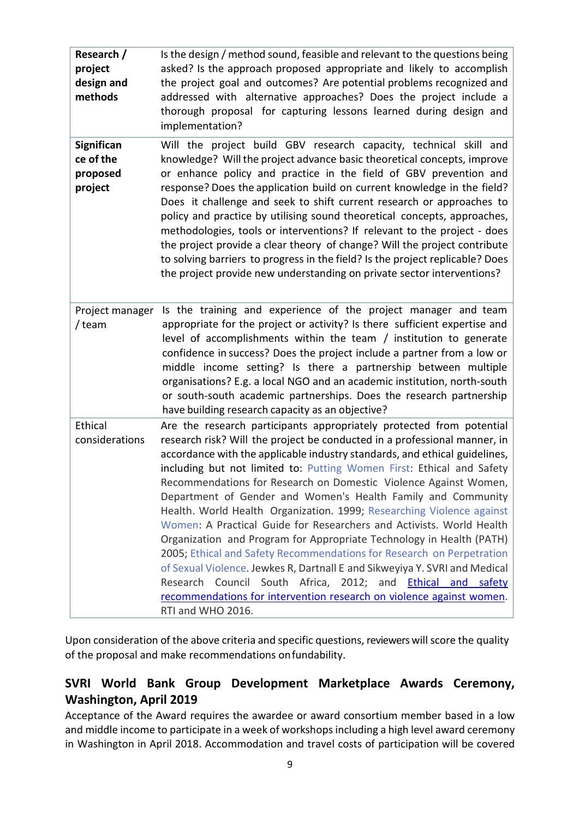| Research /<br>project<br>design and<br>methods | Is the design / method sound, feasible and relevant to the questions being<br>asked? Is the approach proposed appropriate and likely to accomplish<br>the project goal and outcomes? Are potential problems recognized and<br>addressed with alternative approaches? Does the project include a<br>thorough proposal for capturing lessons learned during design and<br>implementation?                                                                                                                                                                                                                                                                                                                                                                                                                                                                                                                                                                                                         |  |
|------------------------------------------------|-------------------------------------------------------------------------------------------------------------------------------------------------------------------------------------------------------------------------------------------------------------------------------------------------------------------------------------------------------------------------------------------------------------------------------------------------------------------------------------------------------------------------------------------------------------------------------------------------------------------------------------------------------------------------------------------------------------------------------------------------------------------------------------------------------------------------------------------------------------------------------------------------------------------------------------------------------------------------------------------------|--|
| Significan<br>ce of the<br>proposed<br>project | Will the project build GBV research capacity, technical skill and<br>knowledge? Will the project advance basic theoretical concepts, improve<br>or enhance policy and practice in the field of GBV prevention and<br>response? Does the application build on current knowledge in the field?<br>Does it challenge and seek to shift current research or approaches to<br>policy and practice by utilising sound theoretical concepts, approaches,<br>methodologies, tools or interventions? If relevant to the project - does<br>the project provide a clear theory of change? Will the project contribute<br>to solving barriers to progress in the field? Is the project replicable? Does<br>the project provide new understanding on private sector interventions?                                                                                                                                                                                                                           |  |
| Project manager<br>/ team                      | Is the training and experience of the project manager and team<br>appropriate for the project or activity? Is there sufficient expertise and<br>level of accomplishments within the team / institution to generate<br>confidence in success? Does the project include a partner from a low or<br>middle income setting? Is there a partnership between multiple<br>organisations? E.g. a local NGO and an academic institution, north-south<br>or south-south academic partnerships. Does the research partnership<br>have building research capacity as an objective?                                                                                                                                                                                                                                                                                                                                                                                                                          |  |
| Ethical<br>considerations                      | Are the research participants appropriately protected from potential<br>research risk? Will the project be conducted in a professional manner, in<br>accordance with the applicable industry standards, and ethical guidelines,<br>including but not limited to: Putting Women First: Ethical and Safety<br>Recommendations for Research on Domestic Violence Against Women,<br>Department of Gender and Women's Health Family and Community<br>Health. World Health Organization. 1999; Researching Violence against<br>Women: A Practical Guide for Researchers and Activists. World Health<br>Organization and Program for Appropriate Technology in Health (PATH)<br>2005; Ethical and Safety Recommendations for Research on Perpetration<br>of Sexual Violence. Jewkes R, Dartnall E and Sikweyiya Y. SVRI and Medical<br>Research Council South Africa, 2012; and <b>Ethical and safety</b><br>recommendations for intervention research on violence against women.<br>RTI and WHO 2016. |  |

Upon consideration of the above criteria and specific questions, reviewers will score the quality of the proposal and make recommendations onfundability.

# **SVRI World Bank Group Development Marketplace Awards Ceremony, Washington, April 2019**

Acceptance of the Award requires the awardee or award consortium member based in a low and middle income to participate in a week of workshops including a high level award ceremony in Washington in April 2018. Accommodation and travel costs of participation will be covered